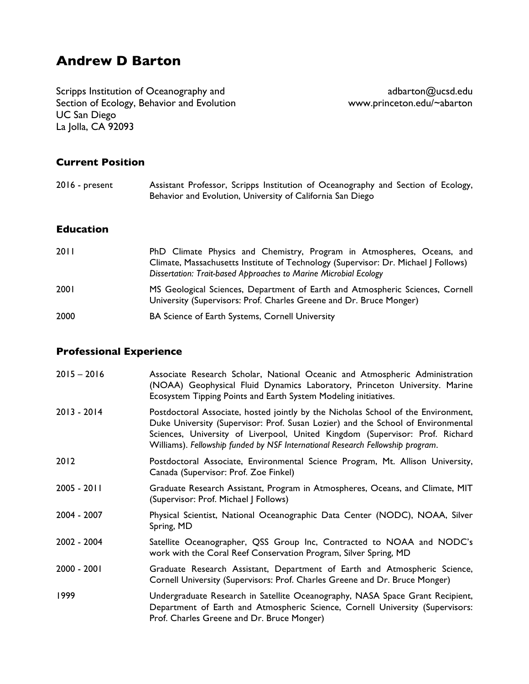# **Andrew D Barton**

Scripps Institution of Oceanography and<br>Section of Ecology, Behavior and Evolution and adbarton.edu/~abarton Section of Ecology, Behavior and Evolution UC San Diego La Jolla, CA 92093

### **Current Position**

| 2016 - present | Assistant Professor, Scripps Institution of Oceanography and Section of Ecology, |
|----------------|----------------------------------------------------------------------------------|
|                | Behavior and Evolution, University of California San Diego                       |

# **Education**

| 2011 | PhD Climate Physics and Chemistry, Program in Atmospheres, Oceans, and<br>Climate, Massachusetts Institute of Technology (Supervisor: Dr. Michael   Follows)<br>Dissertation: Trait-based Approaches to Marine Microbial Ecology |
|------|----------------------------------------------------------------------------------------------------------------------------------------------------------------------------------------------------------------------------------|
| 2001 | MS Geological Sciences, Department of Earth and Atmospheric Sciences, Cornell<br>University (Supervisors: Prof. Charles Greene and Dr. Bruce Monger)                                                                             |
| 2000 | BA Science of Earth Systems, Cornell University                                                                                                                                                                                  |

## **Professional Experience**

| $2015 - 2016$ | Associate Research Scholar, National Oceanic and Atmospheric Administration<br>(NOAA) Geophysical Fluid Dynamics Laboratory, Princeton University. Marine<br>Ecosystem Tipping Points and Earth System Modeling initiatives.                                                                                                            |
|---------------|-----------------------------------------------------------------------------------------------------------------------------------------------------------------------------------------------------------------------------------------------------------------------------------------------------------------------------------------|
| $2013 - 2014$ | Postdoctoral Associate, hosted jointly by the Nicholas School of the Environment,<br>Duke University (Supervisor: Prof. Susan Lozier) and the School of Environmental<br>Sciences, University of Liverpool, United Kingdom (Supervisor: Prof. Richard<br>Williams). Fellowship funded by NSF International Research Fellowship program. |
| 2012          | Postdoctoral Associate, Environmental Science Program, Mt. Allison University,<br>Canada (Supervisor: Prof. Zoe Finkel)                                                                                                                                                                                                                 |
| $2005 - 2011$ | Graduate Research Assistant, Program in Atmospheres, Oceans, and Climate, MIT<br>(Supervisor: Prof. Michael   Follows)                                                                                                                                                                                                                  |
| 2004 - 2007   | Physical Scientist, National Oceanographic Data Center (NODC), NOAA, Silver<br>Spring, MD                                                                                                                                                                                                                                               |
| 2002 - 2004   | Satellite Oceanographer, QSS Group Inc, Contracted to NOAA and NODC's<br>work with the Coral Reef Conservation Program, Silver Spring, MD                                                                                                                                                                                               |
| $2000 - 2001$ | Graduate Research Assistant, Department of Earth and Atmospheric Science,<br>Cornell University (Supervisors: Prof. Charles Greene and Dr. Bruce Monger)                                                                                                                                                                                |
| 1999          | Undergraduate Research in Satellite Oceanography, NASA Space Grant Recipient,<br>Department of Earth and Atmospheric Science, Cornell University (Supervisors:<br>Prof. Charles Greene and Dr. Bruce Monger)                                                                                                                            |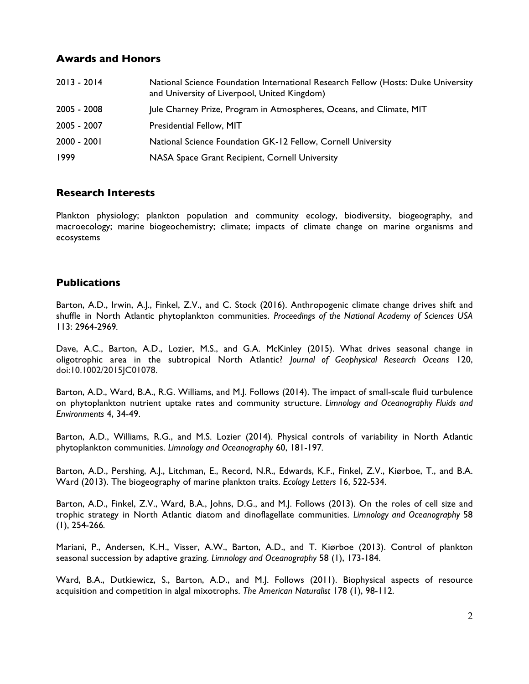## **Awards and Honors**

| $2013 - 2014$ | National Science Foundation International Research Fellow (Hosts: Duke University<br>and University of Liverpool, United Kingdom) |
|---------------|-----------------------------------------------------------------------------------------------------------------------------------|
| 2005 - 2008   | Jule Charney Prize, Program in Atmospheres, Oceans, and Climate, MIT                                                              |
| 2005 - 2007   | Presidential Fellow, MIT                                                                                                          |
| $2000 - 2001$ | National Science Foundation GK-12 Fellow, Cornell University                                                                      |
| 1999          | NASA Space Grant Recipient, Cornell University                                                                                    |

## **Research Interests**

Plankton physiology; plankton population and community ecology, biodiversity, biogeography, and macroecology; marine biogeochemistry; climate; impacts of climate change on marine organisms and ecosystems

# **Publications**

Barton, A.D., Irwin, A.J., Finkel, Z.V., and C. Stock (2016). Anthropogenic climate change drives shift and shuffle in North Atlantic phytoplankton communities. *Proceedings of the National Academy of Sciences USA* 113: 2964-2969*.*

Dave, A.C., Barton, A.D., Lozier, M.S., and G.A. McKinley (2015). What drives seasonal change in oligotrophic area in the subtropical North Atlantic? *Journal of Geophysical Research Oceans* 120, doi:10.1002/2015JC01078.

Barton, A.D., Ward, B.A., R.G. Williams, and M.J. Follows (2014). The impact of small-scale fluid turbulence on phytoplankton nutrient uptake rates and community structure. *Limnology and Oceanography Fluids and Environments* 4, 34-49.

Barton, A.D., Williams, R.G., and M.S. Lozier (2014). Physical controls of variability in North Atlantic phytoplankton communities. *Limnology and Oceanography* 60, 181-197*.*

Barton, A.D., Pershing, A.J., Litchman, E., Record, N.R., Edwards, K.F., Finkel, Z.V., Kiørboe, T., and B.A. Ward (2013). The biogeography of marine plankton traits. *Ecology Letters* 16, 522-534.

Barton, A.D., Finkel, Z.V., Ward, B.A., Johns, D.G., and M.J. Follows (2013). On the roles of cell size and trophic strategy in North Atlantic diatom and dinoflagellate communities. *Limnology and Oceanography* 58 (1), 254-266*.*

Mariani, P., Andersen, K.H., Visser, A.W., Barton, A.D., and T. Kiørboe (2013). Control of plankton seasonal succession by adaptive grazing. *Limnology and Oceanography* 58 (1), 173-184.

Ward, B.A., Dutkiewicz, S., Barton, A.D., and M.J. Follows (2011). Biophysical aspects of resource acquisition and competition in algal mixotrophs. *The American Naturalist* 178 (1), 98-112.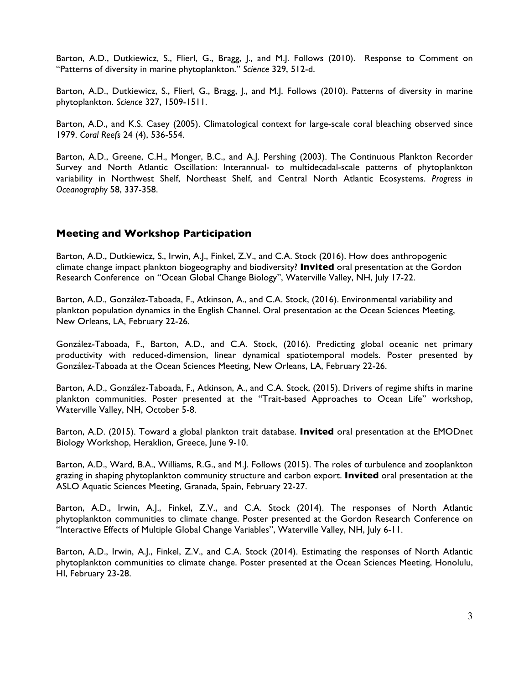Barton, A.D., Dutkiewicz, S., Flierl, G., Bragg, J., and M.J. Follows (2010). Response to Comment on "Patterns of diversity in marine phytoplankton." *Science* 329, 512-d.

Barton, A.D., Dutkiewicz, S., Flierl, G., Bragg, J., and M.J. Follows (2010). Patterns of diversity in marine phytoplankton. *Science* 327, 1509-1511.

Barton, A.D., and K.S. Casey (2005). Climatological context for large-scale coral bleaching observed since 1979. *Coral Reefs* 24 (4), 536-554.

Barton, A.D., Greene, C.H., Monger, B.C., and A.J. Pershing (2003). The Continuous Plankton Recorder Survey and North Atlantic Oscillation: Interannual- to multidecadal-scale patterns of phytoplankton variability in Northwest Shelf, Northeast Shelf, and Central North Atlantic Ecosystems. *Progress in Oceanography* 58, 337-358.

### **Meeting and Workshop Participation**

Barton, A.D., Dutkiewicz, S., Irwin, A.J., Finkel, Z.V., and C.A. Stock (2016). How does anthropogenic climate change impact plankton biogeography and biodiversity? **Invited** oral presentation at the Gordon Research Conference on "Ocean Global Change Biology", Waterville Valley, NH, July 17-22.

Barton, A.D., González-Taboada, F., Atkinson, A., and C.A. Stock, (2016). Environmental variability and plankton population dynamics in the English Channel. Oral presentation at the Ocean Sciences Meeting, New Orleans, LA, February 22-26*.*

González-Taboada, F., Barton, A.D., and C.A. Stock, (2016). Predicting global oceanic net primary productivity with reduced-dimension, linear dynamical spatiotemporal models. Poster presented by González-Taboada at the Ocean Sciences Meeting, New Orleans, LA, February 22-26.

Barton, A.D., González-Taboada, F., Atkinson, A., and C.A. Stock, (2015). Drivers of regime shifts in marine plankton communities. Poster presented at the "Trait-based Approaches to Ocean Life" workshop, Waterville Valley, NH, October 5-8.

Barton, A.D. (2015). Toward a global plankton trait database. **Invited** oral presentation at the EMODnet Biology Workshop, Heraklion, Greece, June 9-10.

Barton, A.D., Ward, B.A., Williams, R.G., and M.J. Follows (2015). The roles of turbulence and zooplankton grazing in shaping phytoplankton community structure and carbon export. **Invited** oral presentation at the ASLO Aquatic Sciences Meeting, Granada, Spain, February 22-27.

Barton, A.D., Irwin, A.J., Finkel, Z.V., and C.A. Stock (2014). The responses of North Atlantic phytoplankton communities to climate change. Poster presented at the Gordon Research Conference on "Interactive Effects of Multiple Global Change Variables", Waterville Valley, NH, July 6-11.

Barton, A.D., Irwin, A.J., Finkel, Z.V., and C.A. Stock (2014). Estimating the responses of North Atlantic phytoplankton communities to climate change. Poster presented at the Ocean Sciences Meeting, Honolulu, HI, February 23-28.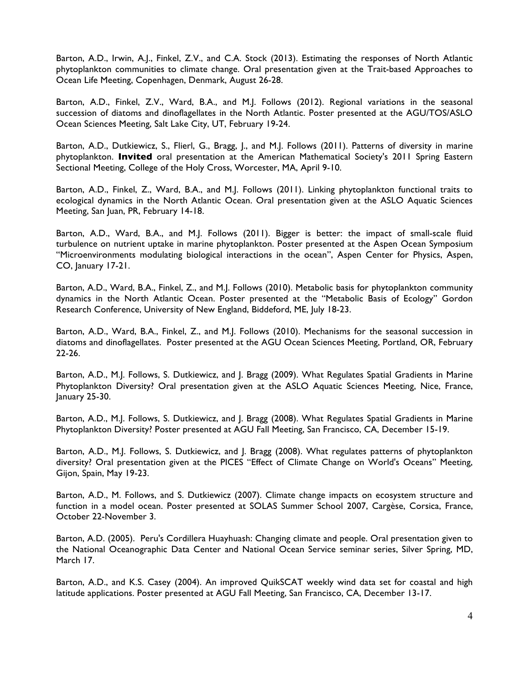Barton, A.D., Irwin, A.J., Finkel, Z.V., and C.A. Stock (2013). Estimating the responses of North Atlantic phytoplankton communities to climate change. Oral presentation given at the Trait-based Approaches to Ocean Life Meeting, Copenhagen, Denmark, August 26-28.

Barton, A.D., Finkel, Z.V., Ward, B.A., and M.J. Follows (2012). Regional variations in the seasonal succession of diatoms and dinoflagellates in the North Atlantic. Poster presented at the AGU/TOS/ASLO Ocean Sciences Meeting, Salt Lake City, UT, February 19-24.

Barton, A.D., Dutkiewicz, S., Flierl, G., Bragg, J., and M.J. Follows (2011). Patterns of diversity in marine phytoplankton. **Invited** oral presentation at the American Mathematical Society's 2011 Spring Eastern Sectional Meeting, College of the Holy Cross, Worcester, MA, April 9-10.

Barton, A.D., Finkel, Z., Ward, B.A., and M.J. Follows (2011). Linking phytoplankton functional traits to ecological dynamics in the North Atlantic Ocean. Oral presentation given at the ASLO Aquatic Sciences Meeting, San Juan, PR, February 14-18.

Barton, A.D., Ward, B.A., and M.J. Follows (2011). Bigger is better: the impact of small-scale fluid turbulence on nutrient uptake in marine phytoplankton. Poster presented at the Aspen Ocean Symposium "Microenvironments modulating biological interactions in the ocean", Aspen Center for Physics, Aspen, CO, January 17-21.

Barton, A.D., Ward, B.A., Finkel, Z., and M.J. Follows (2010). Metabolic basis for phytoplankton community dynamics in the North Atlantic Ocean. Poster presented at the "Metabolic Basis of Ecology" Gordon Research Conference, University of New England, Biddeford, ME, July 18-23.

Barton, A.D., Ward, B.A., Finkel, Z., and M.J. Follows (2010). Mechanisms for the seasonal succession in diatoms and dinoflagellates. Poster presented at the AGU Ocean Sciences Meeting, Portland, OR, February 22-26.

Barton, A.D., M.J. Follows, S. Dutkiewicz, and J. Bragg (2009). What Regulates Spatial Gradients in Marine Phytoplankton Diversity? Oral presentation given at the ASLO Aquatic Sciences Meeting, Nice, France, January 25-30.

Barton, A.D., M.J. Follows, S. Dutkiewicz, and J. Bragg (2008). What Regulates Spatial Gradients in Marine Phytoplankton Diversity? Poster presented at AGU Fall Meeting, San Francisco, CA, December 15-19.

Barton, A.D., M.J. Follows, S. Dutkiewicz, and J. Bragg (2008). What regulates patterns of phytoplankton diversity? Oral presentation given at the PICES "Effect of Climate Change on World's Oceans" Meeting, Gijon, Spain, May 19-23.

Barton, A.D., M. Follows, and S. Dutkiewicz (2007). Climate change impacts on ecosystem structure and function in a model ocean. Poster presented at SOLAS Summer School 2007, Cargèse, Corsica, France, October 22-November 3.

Barton, A.D. (2005). Peru's Cordillera Huayhuash: Changing climate and people. Oral presentation given to the National Oceanographic Data Center and National Ocean Service seminar series, Silver Spring, MD, March 17.

Barton, A.D., and K.S. Casey (2004). An improved QuikSCAT weekly wind data set for coastal and high latitude applications. Poster presented at AGU Fall Meeting, San Francisco, CA, December 13-17.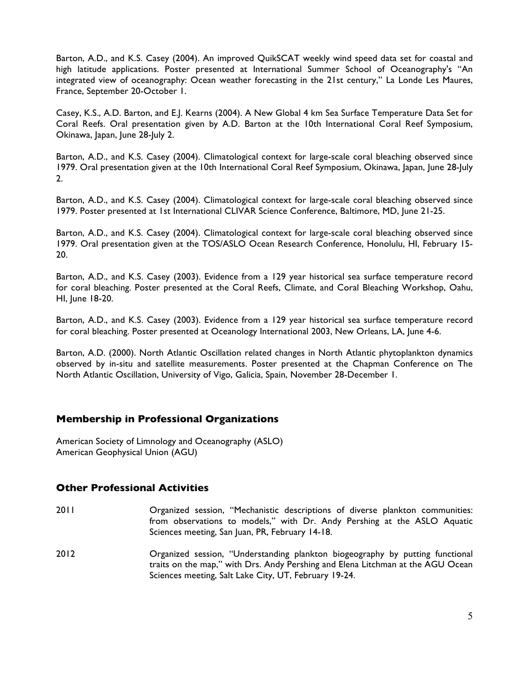Barton, A.D., and K.S. Casey (2004). An improved QuikSCAT weekly wind speed data set for coastal and high latitude applications. Poster presented at International Summer School of Oceanography's "An integrated view of oceanography: Ocean weather forecasting in the 21st century," La Londe Les Maures, France, September 20-October 1.

Casey, K.S., A.D. Barton, and E.J. Kearns (2004). A New Global 4 km Sea Surface Temperature Data Set for Coral Reefs. Oral presentation given by A.D. Barton at the 10th International Coral Reef Symposium, Okinawa, Japan, June 28-July 2.

Barton, A.D., and K.S. Casey (2004). Climatological context for large-scale coral bleaching observed since 1979. Oral presentation given at the 10th International Coral Reef Symposium, Okinawa, Japan, June 28-July 2.

Barton, A.D., and K.S. Casey (2004). Climatological context for large-scale coral bleaching observed since 1979. Poster presented at 1st International CLIVAR Science Conference, Baltimore, MD, June 21-25.

Barton, A.D., and K.S. Casey (2004). Climatological context for large-scale coral bleaching observed since 1979. Oral presentation given at the TOS/ASLO Ocean Research Conference, Honolulu, HI, February 15- 20.

Barton, A.D., and K.S. Casey (2003). Evidence from a 129 year historical sea surface temperature record for coral bleaching. Poster presented at the Coral Reefs, Climate, and Coral Bleaching Workshop, Oahu, HI, June 18-20.

Barton, A.D., and K.S. Casey (2003). Evidence from a 129 year historical sea surface temperature record for coral bleaching. Poster presented at Oceanology International 2003, New Orleans, LA, June 4-6.

Barton, A.D. (2000). North Atlantic Oscillation related changes in North Atlantic phytoplankton dynamics observed by in-situ and satellite measurements. Poster presented at the Chapman Conference on The North Atlantic Oscillation, University of Vigo, Galicia, Spain, November 28-December 1.

### **Membership in Professional Organizations**

American Society of Limnology and Oceanography (ASLO) American Geophysical Union (AGU)

### **Other Professional Activities**

- 2011 Organized session, "Mechanistic descriptions of diverse plankton communities: from observations to models," with Dr. Andy Pershing at the ASLO Aquatic Sciences meeting, San Juan, PR, February 14-18.
- 2012 Organized session, "Understanding plankton biogeography by putting functional traits on the map," with Drs. Andy Pershing and Elena Litchman at the AGU Ocean Sciences meeting, Salt Lake City, UT, February 19-24.